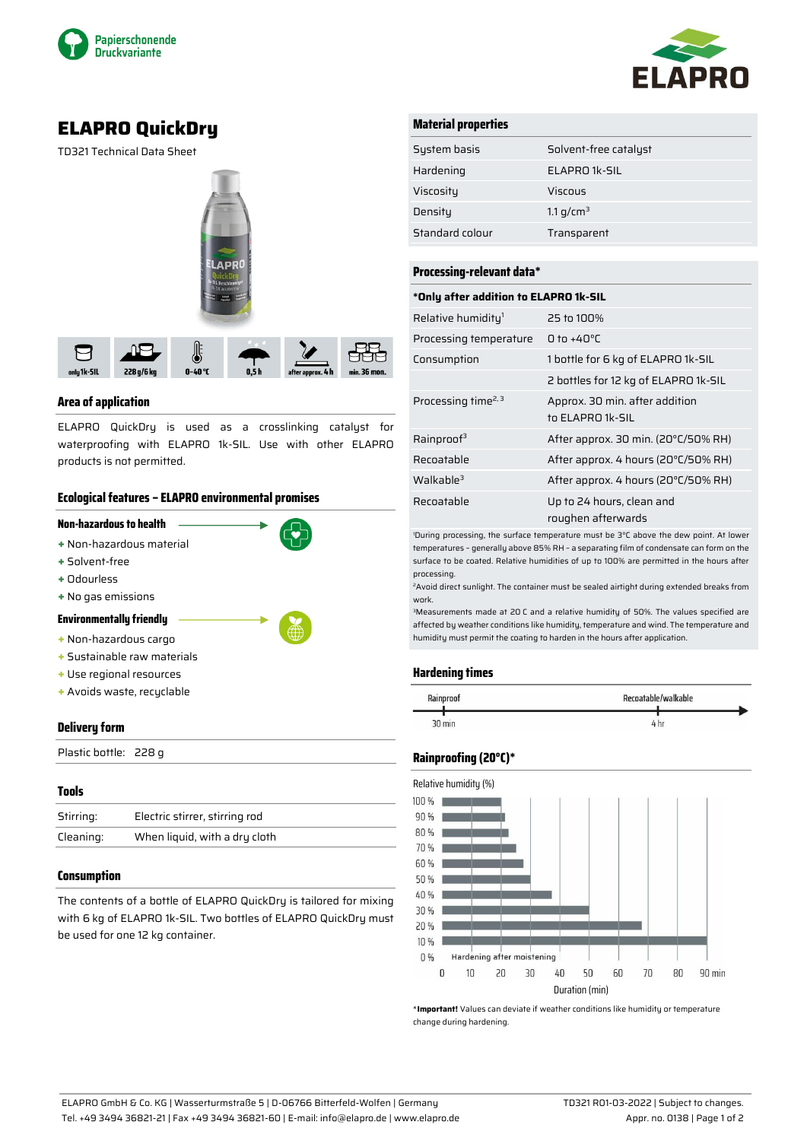



# **ELAPRO QuickDry**

TD321 Technical Data Sheet



## **Area of application**

ELAPRO QuickDry is used as a crosslinking catalyst for waterproofing with ELAPRO 1k-SIL. Use with other ELAPRO products is not permitted.

## **Ecological features – ELAPRO environmental promises**



Plastic bottle: 228 g

| <b>Tools</b> |                                |
|--------------|--------------------------------|
| Stirring:    | Electric stirrer, stirring rod |
| Cleaning:    | When liquid, with a dry cloth  |
|              |                                |

## **Consumption**

The contents of a bottle of ELAPRO QuickDry is tailored for mixing with 6 kg of ELAPRO 1k-SIL. Two bottles of ELAPRO QuickDry must be used for one 12 kg container.

## **Material properties**

| System basis    | Solvent-free catalyst |
|-----------------|-----------------------|
| Hardening       | ELAPRO 1k-SIL         |
| Viscosity       | Viscous               |
| Densitu         | 1.1 g/cm <sup>3</sup> |
| Standard colour | Transparent           |

#### **Processing-relevant data\***

#### **\*Only after addition to ELAPRO 1k-SIL**

| Relative humidity <sup>1</sup>  | 25 to 100%                                         |
|---------------------------------|----------------------------------------------------|
| Processing temperature          | $0$ to +40°C                                       |
| Consumption                     | 1 bottle for 6 kg of ELAPRO 1k-SIL                 |
|                                 | 2 bottles for 12 kg of ELAPRO 1k-SIL               |
| Processing time <sup>2, 3</sup> | Approx. 30 min. after addition<br>to ELAPRO 1k-SIL |
| Rainproof <sup>3</sup>          | After approx. 30 min. (20°C/50% RH)                |
| Recoatable                      | After approx. 4 hours (20°C/50% RH)                |
| Walkable <sup>3</sup>           | After approx. 4 hours (20°C/50% RH)                |
| Recoatable                      | Up to 24 hours, clean and<br>roughen afterwards    |

<sup>1</sup>During processing, the surface temperature must be 3°C above the dew point. At lower temperatures – generally above 85% RH – a separating film of condensate can form on the surface to be coated. Relative humidities of up to 100% are permitted in the hours after processing.

<sup>2</sup>Avoid direct sunlight. The container must be sealed airtight during extended breaks from work.

<sup>3</sup>Measurements made at 20 C and a relative humidity of 50%. The values specified are affected by weather conditions like humidity, temperature and wind. The temperature and humidity must permit the coating to harden in the hours after application.

## **Hardening times**

| Rainproof | Recoatable/walkable |  |
|-----------|---------------------|--|
| 30 min    | 4 hr                |  |

## **Rainproofing (20°C)\***



\***Important!** Values can deviate if weather conditions like humidity or temperature change during hardening.